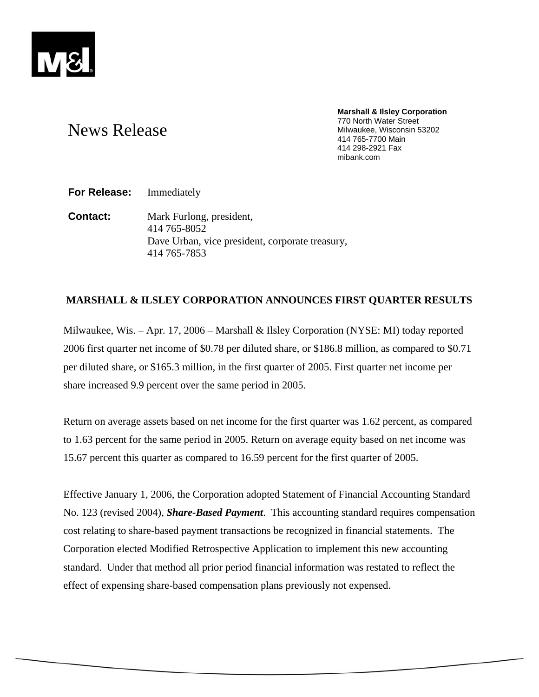

## **Marshall & Ilsley Corporation**  770 North Water Street Milwaukee, Wisconsin 53202 414 765-7700 Main 414 298-2921 Fax mibank.com

# News Release

**For Release:** Immediately

**Contact:** Mark Furlong, president, 414 765-8052 Dave Urban, vice president, corporate treasury, 414 765-7853

## **MARSHALL & ILSLEY CORPORATION ANNOUNCES FIRST QUARTER RESULTS**

Milwaukee, Wis. – Apr. 17, 2006 – Marshall & Ilsley Corporation (NYSE: MI) today reported 2006 first quarter net income of \$0.78 per diluted share, or \$186.8 million, as compared to \$0.71 per diluted share, or \$165.3 million, in the first quarter of 2005. First quarter net income per share increased 9.9 percent over the same period in 2005.

Return on average assets based on net income for the first quarter was 1.62 percent, as compared to 1.63 percent for the same period in 2005. Return on average equity based on net income was 15.67 percent this quarter as compared to 16.59 percent for the first quarter of 2005.

Effective January 1, 2006, the Corporation adopted Statement of Financial Accounting Standard No. 123 (revised 2004), *Share-Based Payment*. This accounting standard requires compensation cost relating to share-based payment transactions be recognized in financial statements. The Corporation elected Modified Retrospective Application to implement this new accounting standard. Under that method all prior period financial information was restated to reflect the effect of expensing share-based compensation plans previously not expensed.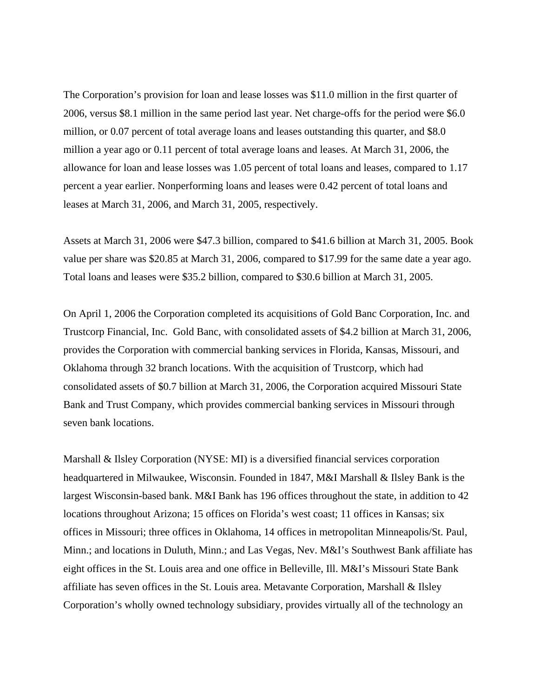The Corporation's provision for loan and lease losses was \$11.0 million in the first quarter of 2006, versus \$8.1 million in the same period last year. Net charge-offs for the period were \$6.0 million, or 0.07 percent of total average loans and leases outstanding this quarter, and \$8.0 million a year ago or 0.11 percent of total average loans and leases. At March 31, 2006, the allowance for loan and lease losses was 1.05 percent of total loans and leases, compared to 1.17 percent a year earlier. Nonperforming loans and leases were 0.42 percent of total loans and leases at March 31, 2006, and March 31, 2005, respectively.

Assets at March 31, 2006 were \$47.3 billion, compared to \$41.6 billion at March 31, 2005. Book value per share was \$20.85 at March 31, 2006, compared to \$17.99 for the same date a year ago. Total loans and leases were \$35.2 billion, compared to \$30.6 billion at March 31, 2005.

On April 1, 2006 the Corporation completed its acquisitions of Gold Banc Corporation, Inc. and Trustcorp Financial, Inc. Gold Banc, with consolidated assets of \$4.2 billion at March 31, 2006, provides the Corporation with commercial banking services in Florida, Kansas, Missouri, and Oklahoma through 32 branch locations. With the acquisition of Trustcorp, which had consolidated assets of \$0.7 billion at March 31, 2006, the Corporation acquired Missouri State Bank and Trust Company, which provides commercial banking services in Missouri through seven bank locations.

Marshall & Ilsley Corporation (NYSE: MI) is a diversified financial services corporation headquartered in Milwaukee, Wisconsin. Founded in 1847, M&I Marshall & Ilsley Bank is the largest Wisconsin-based bank. M&I Bank has 196 offices throughout the state, in addition to 42 locations throughout Arizona; 15 offices on Florida's west coast; 11 offices in Kansas; six offices in Missouri; three offices in Oklahoma, 14 offices in metropolitan Minneapolis/St. Paul, Minn.; and locations in Duluth, Minn.; and Las Vegas, Nev. M&I's Southwest Bank affiliate has eight offices in the St. Louis area and one office in Belleville, Ill. M&I's Missouri State Bank affiliate has seven offices in the St. Louis area. Metavante Corporation, Marshall & Ilsley Corporation's wholly owned technology subsidiary, provides virtually all of the technology an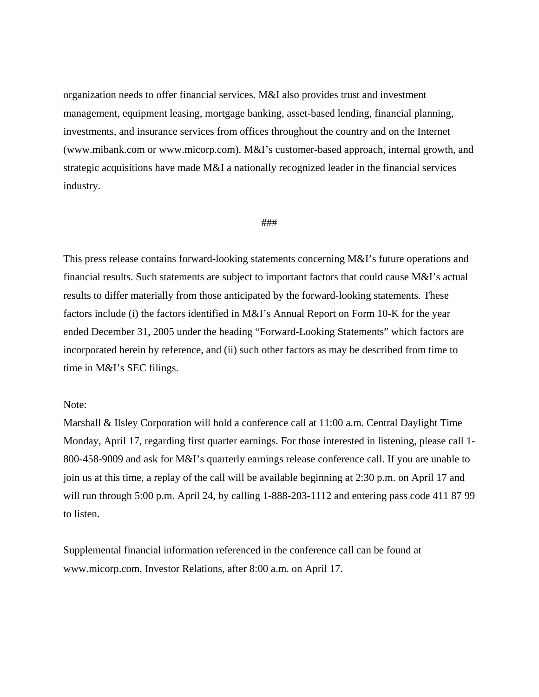organization needs to offer financial services. M&I also provides trust and investment management, equipment leasing, mortgage banking, asset-based lending, financial planning, investments, and insurance services from offices throughout the country and on the Internet (www.mibank.com or www.micorp.com). M&I's customer-based approach, internal growth, and strategic acquisitions have made M&I a nationally recognized leader in the financial services industry.

## ###

This press release contains forward-looking statements concerning M&I's future operations and financial results. Such statements are subject to important factors that could cause M&I's actual results to differ materially from those anticipated by the forward-looking statements. These factors include (i) the factors identified in M&I's Annual Report on Form 10-K for the year ended December 31, 2005 under the heading "Forward-Looking Statements" which factors are incorporated herein by reference, and (ii) such other factors as may be described from time to time in M&I's SEC filings.

## Note:

Marshall & Ilsley Corporation will hold a conference call at 11:00 a.m. Central Daylight Time Monday, April 17, regarding first quarter earnings. For those interested in listening, please call 1- 800-458-9009 and ask for M&I's quarterly earnings release conference call. If you are unable to join us at this time, a replay of the call will be available beginning at 2:30 p.m. on April 17 and will run through 5:00 p.m. April 24, by calling 1-888-203-1112 and entering pass code 411 87 99 to listen.

Supplemental financial information referenced in the conference call can be found at www.micorp.com, Investor Relations, after 8:00 a.m. on April 17.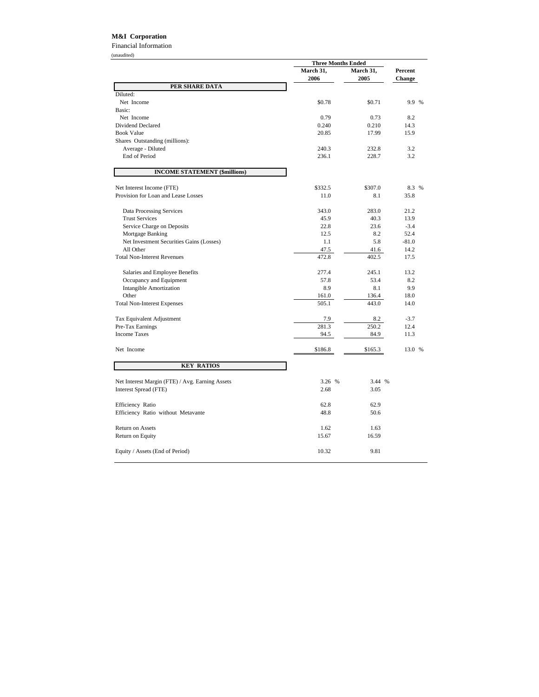## **M&I Corporation**

Financial Information (unaudited)

|                                                 | <b>Three Months Ended</b> |           |               |
|-------------------------------------------------|---------------------------|-----------|---------------|
|                                                 | March 31,                 | March 31, | Percent       |
|                                                 | 2006                      | 2005      | <b>Change</b> |
| PER SHARE DATA                                  |                           |           |               |
| Diluted:                                        |                           |           |               |
| Net Income                                      | \$0.78                    | \$0.71    | 9.9 %         |
| Basic:                                          |                           |           |               |
| Net Income                                      | 0.79                      | 0.73      | 8.2           |
| Dividend Declared                               | 0.240                     | 0.210     | 14.3          |
| <b>Book Value</b>                               | 20.85                     | 17.99     | 15.9          |
| Shares Outstanding (millions):                  |                           |           |               |
| Average - Diluted                               | 240.3                     | 232.8     | 3.2           |
| End of Period                                   | 236.1                     | 228.7     | 3.2           |
| <b>INCOME STATEMENT (\$millions)</b>            |                           |           |               |
| Net Interest Income (FTE)                       | \$332.5                   | \$307.0   | 8.3 %         |
| Provision for Loan and Lease Losses             | 11.0                      | 8.1       | 35.8          |
|                                                 |                           |           |               |
| Data Processing Services                        | 343.0                     | 283.0     | 21.2          |
| <b>Trust Services</b>                           | 45.9                      | 40.3      | 13.9          |
| Service Charge on Deposits                      | 22.8                      | 23.6      | $-3.4$        |
| Mortgage Banking                                | 12.5                      | 8.2       | 52.4          |
| Net Investment Securities Gains (Losses)        | 1.1                       | 5.8       | $-81.0$       |
| All Other                                       | 47.5                      | 41.6      | 14.2          |
| <b>Total Non-Interest Revenues</b>              | 472.8                     | 402.5     | 17.5          |
| Salaries and Employee Benefits                  | 277.4                     | 245.1     | 13.2          |
| Occupancy and Equipment                         | 57.8                      | 53.4      | 8.2           |
| <b>Intangible Amortization</b>                  | 8.9                       | 8.1       | 9.9           |
| Other                                           | 161.0                     | 136.4     | 18.0          |
| <b>Total Non-Interest Expenses</b>              | 505.1                     | 443.0     | 14.0          |
|                                                 |                           |           |               |
| Tax Equivalent Adjustment                       | 7.9                       | 8.2       | $-3.7$        |
| Pre-Tax Earnings                                | 281.3                     | 250.2     | 12.4          |
| <b>Income Taxes</b>                             | 94.5                      | 84.9      | 11.3          |
| Net Income                                      | \$186.8                   | \$165.3   | 13.0 %        |
| <b>KEY RATIOS</b>                               |                           |           |               |
| Net Interest Margin (FTE) / Avg. Earning Assets | 3.26 %                    | 3.44 %    |               |
|                                                 | 2.68                      | 3.05      |               |
| Interest Spread (FTE)                           |                           |           |               |
| Efficiency Ratio                                | 62.8                      | 62.9      |               |
| Efficiency Ratio without Metavante              | 48.8                      | 50.6      |               |
|                                                 |                           |           |               |
| <b>Return on Assets</b>                         | 1.62                      | 1.63      |               |
| Return on Equity                                | 15.67                     | 16.59     |               |
| Equity / Assets (End of Period)                 | 10.32                     | 9.81      |               |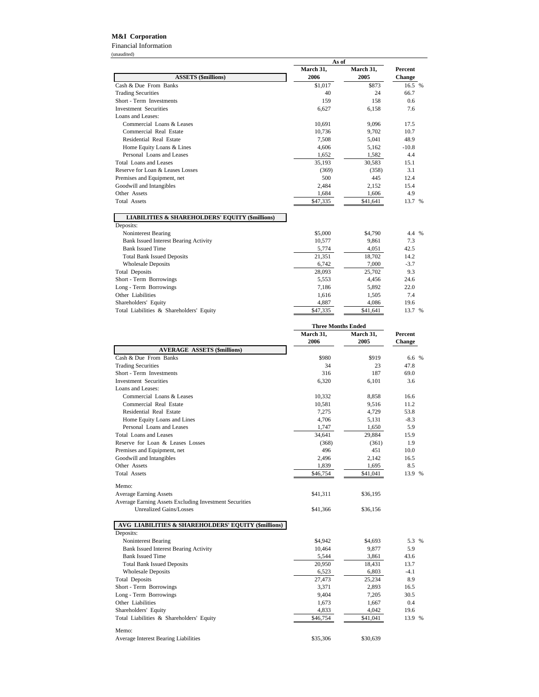## **M&I Corporation**

Financial Information (unaudited)

|                                                            | As of     |                           |                |
|------------------------------------------------------------|-----------|---------------------------|----------------|
|                                                            | March 31, | March 31,                 | <b>Percent</b> |
| <b>ASSETS (\$millions)</b>                                 | 2006      | 2005                      | Change         |
| Cash & Due From Banks                                      | \$1,017   | \$873                     | 16.5 %         |
| <b>Trading Securities</b>                                  | 40        | 24                        | 66.7           |
| Short - Term Investments                                   | 159       | 158                       | 0.6            |
| <b>Investment Securities</b>                               | 6,627     | 6.158                     | 7.6            |
| Loans and Leases:                                          |           |                           |                |
| Commercial Loans & Leases                                  | 10,691    | 9,096                     | 17.5           |
| Commercial Real Estate                                     | 10,736    | 9,702                     | 10.7           |
| Residential Real Estate                                    | 7,508     | 5,041                     | 48.9           |
| Home Equity Loans & Lines                                  | 4,606     | 5,162                     | $-10.8$        |
| Personal Loans and Leases                                  | 1,652     | 1,582                     | 4.4            |
| Total Loans and Leases                                     | 35,193    | 30,583                    | 15.1           |
| Reserve for Loan & Leases Losses                           | (369)     | (358)                     | 3.1            |
| Premises and Equipment, net                                | 500       | 445                       | 12.4           |
| Goodwill and Intangibles                                   | 2,484     | 2,152                     | 15.4           |
| Other Assets                                               | 1,684     | 1,606                     | 4.9            |
| <b>Total Assets</b>                                        | \$47,335  | \$41,641                  | 13.7 %         |
| <b>LIABILITIES &amp; SHAREHOLDERS' EQUITY (\$millions)</b> |           |                           |                |
| Deposits:                                                  |           |                           |                |
| Noninterest Bearing                                        | \$5,000   | \$4,790                   | 4.4 %          |
| <b>Bank Issued Interest Bearing Activity</b>               | 10,577    | 9,861                     | 7.3            |
| <b>Bank Issued Time</b>                                    | 5,774     | 4,051                     | 42.5           |
| <b>Total Bank Issued Deposits</b>                          | 21,351    | 18,702                    | 14.2           |
| <b>Wholesale Deposits</b>                                  | 6,742     | 7,000                     | $-3.7$         |
| <b>Total Deposits</b>                                      | 28,093    | 25,702                    | 9.3            |
| Short - Term Borrowings                                    | 5,553     | 4,456                     | 24.6           |
| Long - Term Borrowings                                     | 7,186     | 5,892                     | 22.0           |
| Other Liabilities                                          | 1,616     | 1,505                     | 7.4            |
| Shareholders' Equity                                       | 4,887     | 4,086                     | 19.6           |
| Total Liabilities & Shareholders' Equity                   | \$47,335  | \$41,641                  | 13.7 %         |
|                                                            |           | <b>Three Months Ended</b> |                |
|                                                            | March 31, | March 31,                 | <b>Percent</b> |
|                                                            |           |                           |                |

|                                                        | March 31,<br>2006 | March 31,<br>2005 | Percent<br>Change |
|--------------------------------------------------------|-------------------|-------------------|-------------------|
| <b>AVERAGE ASSETS (\$millions)</b>                     |                   |                   |                   |
| Cash & Due From Banks                                  | \$980             | \$919             | 6.6 %             |
| <b>Trading Securities</b>                              | 34                | 23                | 47.8              |
| Short - Term Investments                               | 316               | 187               | 69.0              |
| <b>Investment Securities</b>                           | 6.320             | 6.101             | 3.6               |
| Loans and Leases:                                      |                   |                   |                   |
| Commercial Loans & Leases                              | 10,332            | 8,858             | 16.6              |
| Commercial Real Estate                                 | 10,581            | 9,516             | 11.2              |
| Residential Real Estate                                | 7,275             | 4,729             | 53.8              |
| Home Equity Loans and Lines                            | 4,706             | 5,131             | $-8.3$            |
| Personal Loans and Leases                              | 1,747             | 1,650             | 5.9               |
| <b>Total Loans and Leases</b>                          | 34,641            | 29,884            | 15.9              |
| Reserve for Loan & Leases Losses                       | (368)             | (361)             | 1.9               |
| Premises and Equipment, net                            | 496               | 451               | 10.0              |
| Goodwill and Intangibles                               | 2,496             | 2,142             | 16.5              |
| Other Assets                                           | 1,839             | 1,695             | 8.5               |
| <b>Total Assets</b>                                    | \$46,754          | \$41,041          | 13.9 %            |
| Memo:                                                  |                   |                   |                   |
| <b>Average Earning Assets</b>                          | \$41,311          | \$36,195          |                   |
| Average Earning Assets Excluding Investment Securities |                   |                   |                   |
| <b>Unrealized Gains/Losses</b>                         | \$41,366          | \$36,156          |                   |
| AVG LIABILITIES & SHAREHOLDERS' EQUITY (\$millions)    |                   |                   |                   |
| Deposits:                                              |                   |                   |                   |
| Noninterest Bearing                                    | \$4,942           | \$4,693           | 5.3 %             |
| <b>Bank Issued Interest Bearing Activity</b>           | 10,464            | 9,877             | 5.9               |
| <b>Bank Issued Time</b>                                | 5,544             | 3,861             | 43.6              |
| <b>Total Bank Issued Deposits</b>                      | 20,950            | 18,431            | 13.7              |
| <b>Wholesale Deposits</b>                              | 6,523             | 6,803             | $-4.1$            |
| <b>Total Deposits</b>                                  | 27,473            | 25,234            | 8.9               |
| Short - Term Borrowings                                | 3,371             | 2,893             | 16.5              |
| Long - Term Borrowings                                 | 9,404             | 7,205             | 30.5              |
| Other Liabilities                                      | 1,673             | 1,667             | 0.4               |
| Shareholders' Equity                                   | 4,833             | 4,042             | 19.6              |
| Total Liabilities & Shareholders' Equity               | \$46,754          | \$41,041          | 13.9 %            |
| Memo:                                                  |                   |                   |                   |
| Average Interest Bearing Liabilities                   | \$35,306          | \$30,639          |                   |